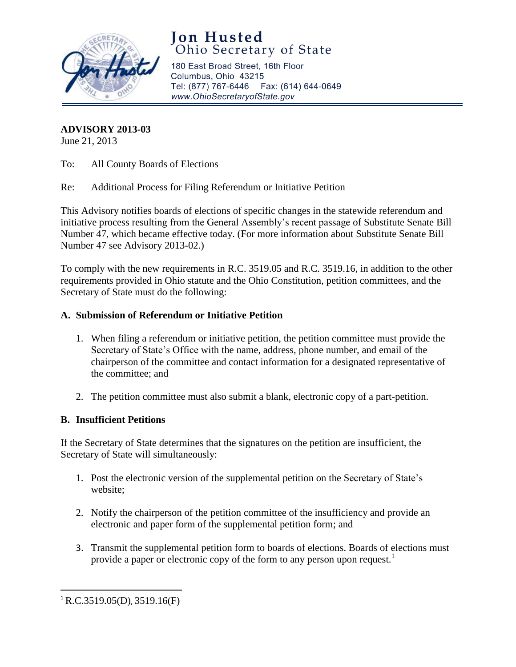

## **Jon Husted**<br>Ohio Secretary of State

180 East Broad Street, 16th Floor Columbus, Ohio 43215 Tel: (877) 767-6446 Fax: (614) 644-0649 www.OhioSecretaryofState.gov

**ADVISORY 2013-03**

June 21, 2013

To: All County Boards of Elections

Re: Additional Process for Filing Referendum or Initiative Petition

This Advisory notifies boards of elections of specific changes in the statewide referendum and initiative process resulting from the General Assembly's recent passage of Substitute Senate Bill Number 47, which became effective today. (For more information about Substitute Senate Bill Number 47 see Advisory 2013-02.)

To comply with the new requirements in R.C. 3519.05 and R.C. 3519.16, in addition to the other requirements provided in Ohio statute and the Ohio Constitution, petition committees, and the Secretary of State must do the following:

## **A. Submission of Referendum or Initiative Petition**

- 1. When filing a referendum or initiative petition, the petition committee must provide the Secretary of State's Office with the name, address, phone number, and email of the chairperson of the committee and contact information for a designated representative of the committee; and
- 2. The petition committee must also submit a blank, electronic copy of a part-petition.

## **B. Insufficient Petitions**

If the Secretary of State determines that the signatures on the petition are insufficient, the Secretary of State will simultaneously:

- 1. Post the electronic version of the supplemental petition on the Secretary of State's website;
- 2. Notify the chairperson of the petition committee of the insufficiency and provide an electronic and paper form of the supplemental petition form; and
- 3. Transmit the supplemental petition form to boards of elections. Boards of elections must provide a paper or electronic copy of the form to any person upon request.<sup>1</sup>

 $\overline{a}$ 

 ${}^{1}$ R.C.3519.05(D), 3519.16(F)